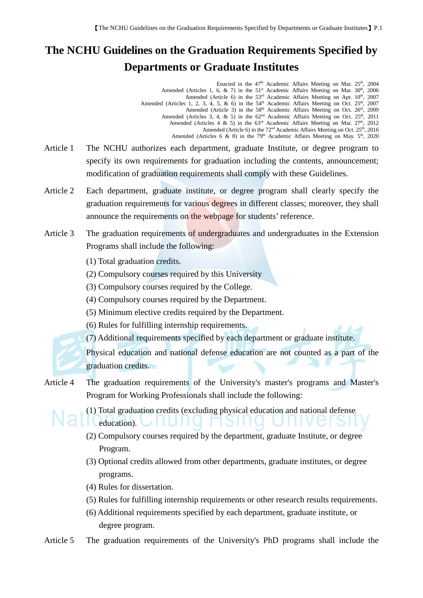## **The NCHU Guidelines on the Graduation Requirements Specified by Departments or Graduate Institutes**

Enacted in the  $47<sup>th</sup>$  Academic Affairs Meeting on Mar.  $25<sup>th</sup>$ ,  $2004$ Amended (Articles 1, 6,  $\& 7$ ) in the  $51<sup>st</sup>$  Academic Affairs Meeting on Mar.  $30<sup>th</sup>$ , 2006 Amended (Article 6) in the  $53<sup>rd</sup>$  Academic Affairs Meeting on Apr.  $10<sup>th</sup>$ , 2007 Amended (Articles 1, 2, 3, 4, 5, & 6) in the  $54<sup>th</sup>$  Academic Affairs Meeting on Oct.  $25<sup>th</sup>$ ,  $2007$ Amended (Article 3) in the 58<sup>th</sup> Academic Affairs Meeting on Oct. 26<sup>th</sup>, 2009 Amended (Articles 3, 4, & 5) in the  $62<sup>nd</sup>$  Academic Affairs Meeting on Oct. 25<sup>th</sup>, 2011 Amended (Articles 4 & 5) in the  $63<sup>rd</sup>$  Academic Affairs Meeting on Mar.  $27<sup>th</sup>$ ,  $2012$ Amended (Article 6) in the  $72<sup>nd</sup>$  Academic Affairs Meeting on Oct.  $25<sup>th</sup>$ , 2016 Amended (Articles 6  $\&$  8) in the 79<sup>th</sup> Academic Affairs Meeting on May.  $5<sup>th</sup>$ , 2020

- Article 1 The NCHU authorizes each department, graduate Institute, or degree program to specify its own requirements for graduation including the contents, announcement; modification of graduation requirements shall comply with these Guidelines.
- Article 2 Each department, graduate institute, or degree program shall clearly specify the graduation requirements for various degrees in different classes; moreover, they shall announce the requirements on the webpage for students' reference.
- Article 3 The graduation requirements of undergraduates and undergraduates in the Extension Programs shall include the following:
	- (1) Total graduation credits.
	- (2) Compulsory courses required by this University
	- (3) Compulsory courses required by the College.
	- (4) Compulsory courses required by the Department.
	- (5) Minimum elective credits required by the Department.
	- (6) Rules for fulfilling internship requirements.
	- (7) Additional requirements specified by each department or graduate institute.

Physical education and national defense education are not counted as a part of the graduation credits.

Article 4 The graduation requirements of the University's master's programs and Master's Program for Working Professionals shall include the following:



(1) Total graduation credits (excluding physical education and national defense

education). I I I I I I

- (2) Compulsory courses required by the department, graduate Institute, or degree Program.
- (3) Optional credits allowed from other departments, graduate institutes, or degree programs.
- (4) Rules for dissertation.
- (5) Rules for fulfilling internship requirements or other research results requirements.
- (6) Additional requirements specified by each department, graduate institute, or degree program.

Article 5 The graduation requirements of the University's PhD programs shall include the